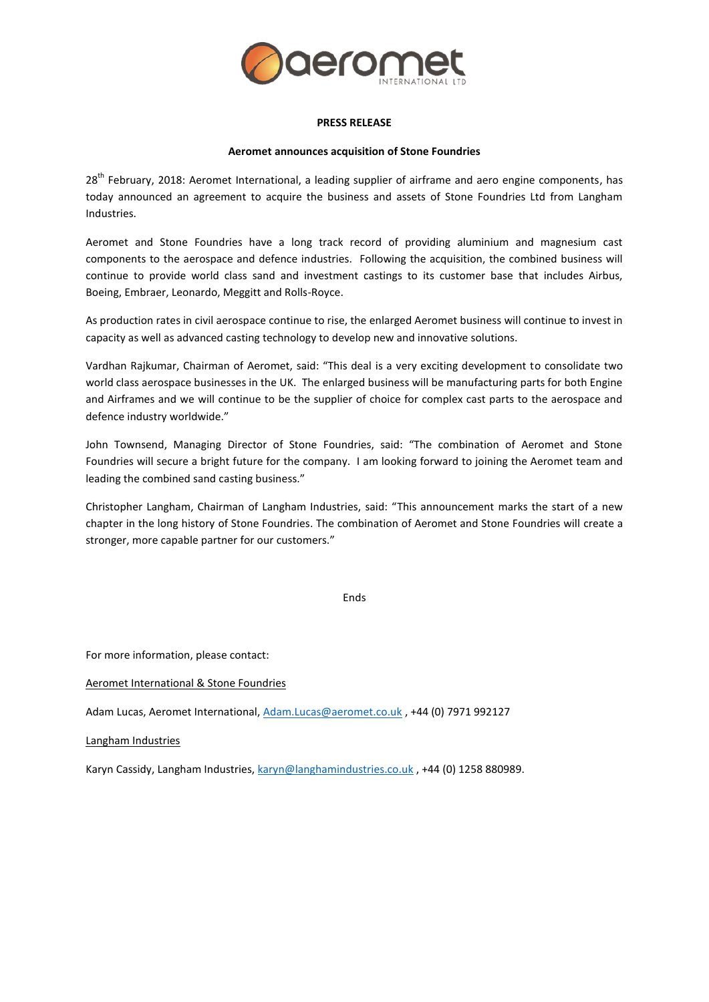

## **PRESS RELEASE**

# **Aeromet announces acquisition of Stone Foundries**

28<sup>th</sup> February, 2018: Aeromet International, a leading supplier of airframe and aero engine components, has today announced an agreement to acquire the business and assets of Stone Foundries Ltd from Langham Industries.

Aeromet and Stone Foundries have a long track record of providing aluminium and magnesium cast components to the aerospace and defence industries. Following the acquisition, the combined business will continue to provide world class sand and investment castings to its customer base that includes Airbus, Boeing, Embraer, Leonardo, Meggitt and Rolls-Royce.

As production rates in civil aerospace continue to rise, the enlarged Aeromet business will continue to invest in capacity as well as advanced casting technology to develop new and innovative solutions.

Vardhan Rajkumar, Chairman of Aeromet, said: "This deal is a very exciting development to consolidate two world class aerospace businesses in the UK. The enlarged business will be manufacturing parts for both Engine and Airframes and we will continue to be the supplier of choice for complex cast parts to the aerospace and defence industry worldwide."

John Townsend, Managing Director of Stone Foundries, said: "The combination of Aeromet and Stone Foundries will secure a bright future for the company. I am looking forward to joining the Aeromet team and leading the combined sand casting business."

Christopher Langham, Chairman of Langham Industries, said: "This announcement marks the start of a new chapter in the long history of Stone Foundries. The combination of Aeromet and Stone Foundries will create a stronger, more capable partner for our customers."

Ends

For more information, please contact:

Aeromet International & Stone Foundries

Adam Lucas, Aeromet International, [Adam.Lucas@aeromet.co.uk](mailto:Adam.Lucas@aeromet.co.uk) , +44 (0) 7971 992127

Langham Industries

Karyn Cassidy, Langham Industries, [karyn@langhamindustries.co.uk](mailto:karyn@langhamindustries.co.uk) , +44 (0) 1258 880989.